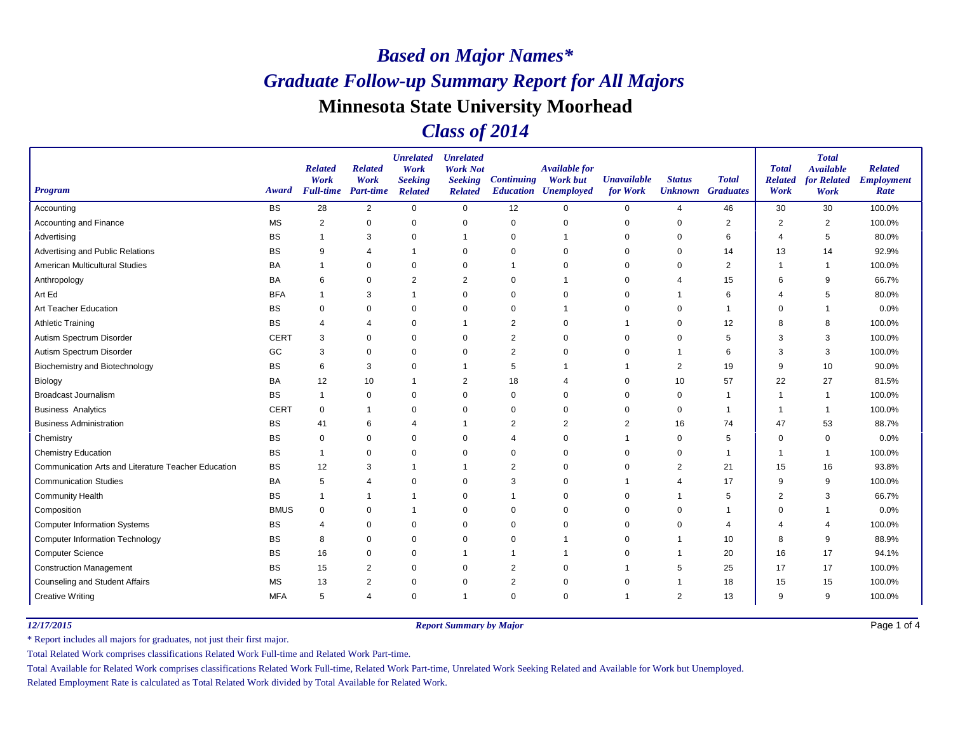## *Class of 2014*

| <b>Program</b>                                      | Award       | <b>Related</b><br>Work<br><b>Full-time</b> | <b>Related</b><br>Work<br><b>Part-time</b> | <b>Unrelated</b><br>Work<br><b>Seeking</b><br><b>Related</b> | <b>Unrelated</b><br><b>Work Not</b><br><b>Seeking</b><br><b>Related</b> | <b>Continuing</b> | <b>Available for</b><br><b>Work but</b><br><b>Education Unemployed</b> | <b>Unavailable</b><br>for Work | <b>Status</b> | <b>Total</b><br><b>Unknown</b> Graduates | <b>Total</b><br><b>Related</b><br>Work | <b>Total</b><br><b>Available</b><br>for Related<br>Work | <b>Related</b><br><b>Employment</b><br>Rate |
|-----------------------------------------------------|-------------|--------------------------------------------|--------------------------------------------|--------------------------------------------------------------|-------------------------------------------------------------------------|-------------------|------------------------------------------------------------------------|--------------------------------|---------------|------------------------------------------|----------------------------------------|---------------------------------------------------------|---------------------------------------------|
| Accounting                                          | <b>BS</b>   | 28                                         | $\overline{2}$                             | $\mathbf 0$                                                  | $\mathbf 0$                                                             | 12                | $\Omega$                                                               | 0                              | 4             | 46                                       | 30                                     | 30                                                      | 100.0%                                      |
| Accounting and Finance                              | <b>MS</b>   | $\overline{2}$                             | $\pmb{0}$                                  | $\mathbf 0$                                                  | $\mathbf 0$                                                             | $\mathbf 0$       | $\mathbf 0$                                                            | 0                              | $\mathbf 0$   | $\overline{2}$                           | $\overline{2}$                         | $\overline{2}$                                          | 100.0%                                      |
| Advertising                                         | BS          |                                            | 3                                          | $\mathbf 0$                                                  | -1                                                                      | 0                 |                                                                        | 0                              | 0             | 6                                        | Δ                                      | 5                                                       | 80.0%                                       |
| Advertising and Public Relations                    | BS          | 9                                          | $\overline{4}$                             | $\overline{1}$                                               | 0                                                                       | 0                 | $\Omega$                                                               | $\Omega$                       | $\Omega$      | 14                                       | 13                                     | 14                                                      | 92.9%                                       |
| American Multicultural Studies                      | <b>BA</b>   |                                            | 0                                          | 0                                                            | $\mathbf 0$                                                             |                   | $\Omega$                                                               | 0                              | $\Omega$      | 2                                        | 1                                      | -1                                                      | 100.0%                                      |
| Anthropology                                        | <b>BA</b>   | 6                                          | 0                                          | $\overline{2}$                                               | $\overline{2}$                                                          | 0                 |                                                                        | 0                              | 4             | 15                                       | 6                                      | 9                                                       | 66.7%                                       |
| Art Ed                                              | <b>BFA</b>  |                                            | 3                                          | -1                                                           | $\mathbf 0$                                                             | 0                 | $\Omega$                                                               | 0                              |               | 6                                        | 4                                      | 5                                                       | 80.0%                                       |
| Art Teacher Education                               | BS          | $\mathbf 0$                                | 0                                          | 0                                                            | 0                                                                       | 0                 |                                                                        | 0                              |               | $\mathbf 1$                              | $\Omega$                               | -1                                                      | 0.0%                                        |
| <b>Athletic Training</b>                            | BS          | 4                                          | 4                                          | $\mathbf 0$                                                  | -1                                                                      | $\overline{2}$    | $\Omega$                                                               |                                | 0             | 12                                       | 8                                      | 8                                                       | 100.0%                                      |
| Autism Spectrum Disorder                            | <b>CERT</b> | 3                                          | $\mathbf 0$                                | $\mathbf 0$                                                  | $\mathbf 0$                                                             | $\overline{2}$    | $\Omega$                                                               | 0                              | $\Omega$      | 5                                        | 3                                      | 3                                                       | 100.0%                                      |
| Autism Spectrum Disorder                            | GC          | 3                                          | 0                                          | $\mathbf 0$                                                  | $\mathbf 0$                                                             | 2                 | 0                                                                      | 0                              |               | 6                                        | 3                                      | 3                                                       | 100.0%                                      |
| <b>Biochemistry and Biotechnology</b>               | BS          | 6                                          | 3                                          | $\mathbf 0$                                                  | -1                                                                      | 5                 |                                                                        |                                | 2             | 19                                       | 9                                      | 10                                                      | 90.0%                                       |
| Biology                                             | BA          | 12                                         | 10                                         | $\overline{1}$                                               | 2                                                                       | 18                | ⊿                                                                      | $\Omega$                       | 10            | 57                                       | 22                                     | 27                                                      | 81.5%                                       |
| <b>Broadcast Journalism</b>                         | <b>BS</b>   | $\mathbf 1$                                | 0                                          | 0                                                            | 0                                                                       | 0                 | 0                                                                      | 0                              | 0             | $\mathbf{1}$                             | 1                                      | -1                                                      | 100.0%                                      |
| <b>Business Analytics</b>                           | <b>CERT</b> | $\mathbf 0$                                | -1                                         | 0                                                            | 0                                                                       | 0                 | $\Omega$                                                               | 0                              | 0             | $\mathbf 1$                              | f.                                     | -1                                                      | 100.0%                                      |
| <b>Business Administration</b>                      | <b>BS</b>   | 41                                         | 6                                          | $\overline{4}$                                               |                                                                         | 2                 | $\overline{2}$                                                         | 2                              | 16            | 74                                       | 47                                     | 53                                                      | 88.7%                                       |
| Chemistry                                           | ВS          | 0                                          | 0                                          | 0                                                            | 0                                                                       | 4                 | $\Omega$                                                               |                                | 0             | 5                                        | $\mathbf 0$                            | 0                                                       | 0.0%                                        |
| <b>Chemistry Education</b>                          | BS          |                                            | $\mathbf 0$                                | $\mathbf 0$                                                  | $\mathbf 0$                                                             | $\Omega$          | $\Omega$                                                               | 0                              | 0             | $\mathbf 1$                              | -1                                     | -1                                                      | 100.0%                                      |
| Communication Arts and Literature Teacher Education | <b>BS</b>   | 12                                         | 3                                          | -1                                                           | $\mathbf 1$                                                             | $\overline{2}$    | $\Omega$                                                               | $\Omega$                       | 2             | 21                                       | 15                                     | 16                                                      | 93.8%                                       |
| <b>Communication Studies</b>                        | BA          | 5                                          | 4                                          | 0                                                            | 0                                                                       | 3                 | $\mathbf 0$                                                            |                                |               | 17                                       | 9                                      | 9                                                       | 100.0%                                      |
| <b>Community Health</b>                             | <b>BS</b>   |                                            |                                            | -1                                                           | 0                                                                       |                   | $\Omega$                                                               | 0                              |               | 5                                        | $\overline{2}$                         | 3                                                       | 66.7%                                       |
| Composition                                         | <b>BMUS</b> | $\mathbf 0$                                | $\Omega$                                   | $\overline{\mathbf{1}}$                                      | 0                                                                       | $\Omega$          | $\Omega$                                                               | $\Omega$                       | $\Omega$      | $\mathbf 1$                              | $\Omega$                               | 1                                                       | 0.0%                                        |
| <b>Computer Information Systems</b>                 | <b>BS</b>   | 4                                          | 0                                          | 0                                                            | 0                                                                       | $\mathbf 0$       | 0                                                                      | 0                              | $\Omega$      | 4                                        |                                        | $\overline{4}$                                          | 100.0%                                      |
| <b>Computer Information Technology</b>              | BS          | 8                                          | 0                                          | $\mathbf 0$                                                  | 0                                                                       | 0                 |                                                                        | $\Omega$                       |               | 10                                       | 8                                      | 9                                                       | 88.9%                                       |
| <b>Computer Science</b>                             | <b>BS</b>   | 16                                         | $\mathbf 0$                                | $\mathbf 0$                                                  |                                                                         |                   |                                                                        | $\Omega$                       |               | 20                                       | 16                                     | 17                                                      | 94.1%                                       |
| <b>Construction Management</b>                      | BS          | 15                                         | 2                                          | 0                                                            | 0                                                                       | 2                 | $\Omega$                                                               |                                | 5             | 25                                       | 17                                     | 17                                                      | 100.0%                                      |
| Counseling and Student Affairs                      | <b>MS</b>   | 13                                         | $\overline{2}$                             | $\mathbf 0$                                                  | 0                                                                       | 2                 | $\Omega$                                                               | $\Omega$                       |               | 18                                       | 15                                     | 15                                                      | 100.0%                                      |
| <b>Creative Writing</b>                             | <b>MFA</b>  | 5                                          | $\overline{4}$                             | $\mathbf 0$                                                  | -1                                                                      | $\Omega$          | $\Omega$                                                               |                                | 2             | 13                                       | 9                                      | 9                                                       | 100.0%                                      |

*12/17/2015 Report Summary by Major*

Page 1 of 4

\* Report includes all majors for graduates, not just their first major.

Total Related Work comprises classifications Related Work Full-time and Related Work Part-time.

Total Available for Related Work comprises classifications Related Work Full-time, Related Work Part-time, Unrelated Work Seeking Related and Available for Work but Unemployed.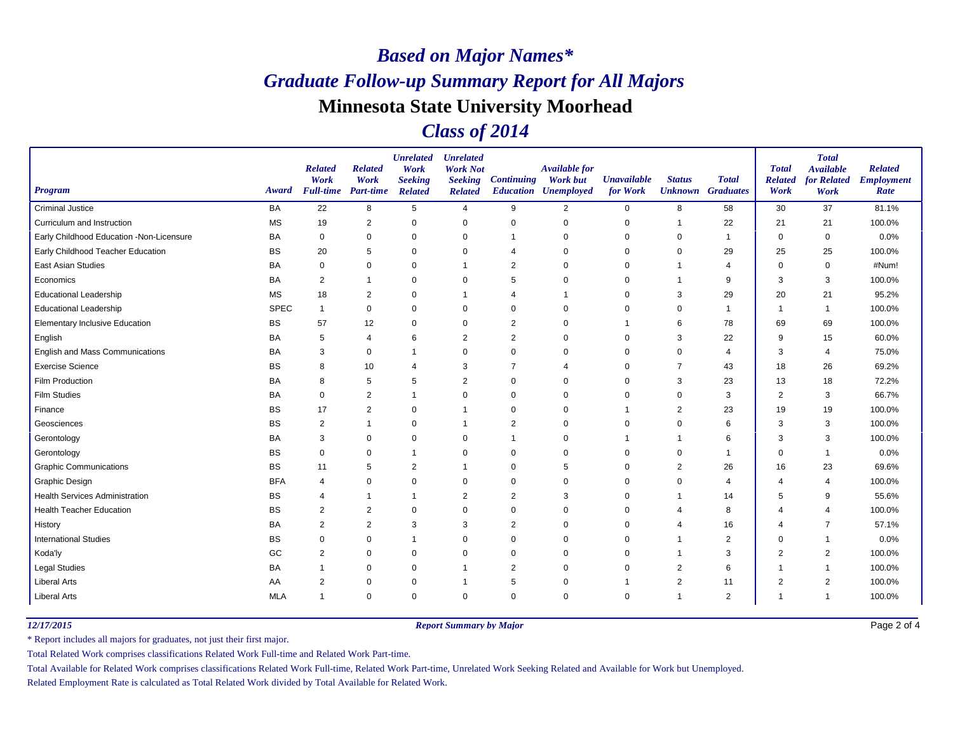## *Class of 2014*

| <b>Program</b>                           | Award       | <b>Related</b><br>Work<br><b>Full-time</b> | <b>Related</b><br>Work<br><b>Part-time</b> | <b>Unrelated</b><br>Work<br><b>Seeking</b><br><b>Related</b> | <b>Unrelated</b><br><b>Work Not</b><br><b>Seeking</b><br><b>Related</b> | <b>Continuing</b> | <b>Available for</b><br><b>Work but</b><br><b>Education Unemployed</b> | <b>Unavailable</b><br>for Work | <b>Status</b><br><b>Unknown</b> Graduates | <b>Total</b>   | <b>Total</b><br><b>Related</b><br>Work | <b>Total</b><br><b>Available</b><br>for Related<br>Work | <b>Related</b><br><b>Employment</b><br>Rate |
|------------------------------------------|-------------|--------------------------------------------|--------------------------------------------|--------------------------------------------------------------|-------------------------------------------------------------------------|-------------------|------------------------------------------------------------------------|--------------------------------|-------------------------------------------|----------------|----------------------------------------|---------------------------------------------------------|---------------------------------------------|
| <b>Criminal Justice</b>                  | <b>BA</b>   | 22                                         | 8                                          | 5                                                            | 4                                                                       | 9                 | $\overline{2}$                                                         | 0                              | 8                                         | 58             | 30                                     | 37                                                      | 81.1%                                       |
| Curriculum and Instruction               | <b>MS</b>   | 19                                         | 2                                          | $\mathbf 0$                                                  | 0                                                                       | 0                 | $\mathbf 0$                                                            | $\mathbf 0$                    | $\mathbf{1}$                              | 22             | 21                                     | 21                                                      | 100.0%                                      |
| Early Childhood Education -Non-Licensure | <b>BA</b>   | $\mathbf 0$                                | $\mathbf 0$                                | $\mathbf 0$                                                  | 0                                                                       | $\overline{1}$    | $\mathbf 0$                                                            | 0                              | 0                                         | -1             | $\mathbf 0$                            | $\mathbf 0$                                             | 0.0%                                        |
| Early Childhood Teacher Education        | <b>BS</b>   | 20                                         | 5                                          | $\Omega$                                                     | $\mathbf 0$                                                             | 4                 | $\Omega$                                                               | 0                              | 0                                         | 29             | 25                                     | 25                                                      | 100.0%                                      |
| <b>East Asian Studies</b>                | BA          | $\mathbf 0$                                | $\mathbf 0$                                | $\Omega$                                                     | $\overline{1}$                                                          | 2                 | $\Omega$                                                               | $\mathbf 0$                    | 1                                         | $\overline{4}$ | $\Omega$                               | $\mathbf 0$                                             | #Num!                                       |
| Economics                                | <b>BA</b>   | 2                                          |                                            | $\mathbf 0$                                                  | $\mathbf 0$                                                             | 5                 | $\mathbf 0$                                                            | 0                              | 1                                         | 9              | 3                                      | 3                                                       | 100.0%                                      |
| <b>Educational Leadership</b>            | <b>MS</b>   | 18                                         | 2                                          | $\Omega$                                                     |                                                                         | $\overline{4}$    | 1                                                                      | 0                              | 3                                         | 29             | 20                                     | 21                                                      | 95.2%                                       |
| <b>Educational Leadership</b>            | <b>SPEC</b> | $\mathbf{1}$                               | $\pmb{0}$                                  | $\mathbf 0$                                                  | 0                                                                       | $\mathbf 0$       | $\Omega$                                                               | $\mathbf 0$                    | 0                                         | $\mathbf 1$    | $\overline{1}$                         | $\overline{1}$                                          | 100.0%                                      |
| <b>Elementary Inclusive Education</b>    | <b>BS</b>   | 57                                         | 12                                         | $\mathbf 0$                                                  | $\mathbf 0$                                                             | $\overline{2}$    | $\mathbf 0$                                                            |                                | 6                                         | 78             | 69                                     | 69                                                      | 100.0%                                      |
| English                                  | <b>BA</b>   | 5                                          | $\overline{4}$                             | 6                                                            | $\overline{2}$                                                          | $\overline{2}$    | $\mathbf 0$                                                            | $\Omega$                       | 3                                         | 22             | 9                                      | 15                                                      | 60.0%                                       |
| English and Mass Communications          | BA          | 3                                          | 0                                          | $\mathbf 1$                                                  | $\mathbf 0$                                                             | $\mathbf 0$       | $\Omega$                                                               | 0                              | 0                                         | 4              | 3                                      | $\overline{4}$                                          | 75.0%                                       |
| <b>Exercise Science</b>                  | <b>BS</b>   | 8                                          | 10                                         | $\overline{4}$                                               | 3                                                                       | $\overline{7}$    | 4                                                                      | $\Omega$                       | 7                                         | 43             | 18                                     | 26                                                      | 69.2%                                       |
| Film Production                          | <b>BA</b>   | 8                                          | 5                                          | 5                                                            | $\overline{2}$                                                          | $\mathbf 0$       | $\Omega$                                                               | $\mathbf 0$                    | 3                                         | 23             | 13                                     | 18                                                      | 72.2%                                       |
| <b>Film Studies</b>                      | BA          | $\mathbf 0$                                | 2                                          | $\mathbf 1$                                                  | 0                                                                       | $\mathbf 0$       | $\mathbf 0$                                                            | 0                              | 0                                         | 3              | $\overline{2}$                         | 3                                                       | 66.7%                                       |
| Finance                                  | <b>BS</b>   | 17                                         | 2                                          | $\mathbf 0$                                                  | -1                                                                      | 0                 | $\mathbf 0$                                                            |                                | $\overline{2}$                            | 23             | 19                                     | 19                                                      | 100.0%                                      |
| Geosciences                              | <b>BS</b>   | $\overline{2}$                             |                                            | $\Omega$                                                     | -1                                                                      | 2                 | $\mathbf 0$                                                            | $\mathbf 0$                    | 0                                         | 6              | 3                                      | 3                                                       | 100.0%                                      |
| Gerontology                              | BA          | 3                                          | $\mathbf 0$                                | $\mathbf 0$                                                  | 0                                                                       | $\mathbf{1}$      | $\Omega$                                                               |                                | 1                                         | 6              | 3                                      | 3                                                       | 100.0%                                      |
| Gerontology                              | <b>BS</b>   | $\mathbf 0$                                | $\Omega$                                   | $\overline{1}$                                               | $\mathbf 0$                                                             | $\mathbf 0$       | $\Omega$                                                               | $\Omega$                       | $\Omega$                                  | -1             | $\Omega$                               | $\overline{\mathbf{1}}$                                 | 0.0%                                        |
| <b>Graphic Communications</b>            | <b>BS</b>   | 11                                         | 5                                          | $\overline{2}$                                               | $\overline{1}$                                                          | $\mathbf 0$       | 5                                                                      | $\mathbf 0$                    | $\overline{2}$                            | 26             | 16                                     | 23                                                      | 69.6%                                       |
| <b>Graphic Design</b>                    | <b>BFA</b>  | $\overline{4}$                             | $\mathbf 0$                                | 0                                                            | 0                                                                       | $\mathbf 0$       | $\Omega$                                                               | 0                              | 0                                         | 4              | 4                                      | $\overline{4}$                                          | 100.0%                                      |
| <b>Health Services Administration</b>    | <b>BS</b>   | 4                                          |                                            | $\overline{1}$                                               | $\overline{2}$                                                          | $\overline{2}$    | 3                                                                      | $\Omega$                       | 1                                         | 14             | 5                                      | 9                                                       | 55.6%                                       |
| <b>Health Teacher Education</b>          | <b>BS</b>   | $\overline{2}$                             | $\overline{2}$                             | $\Omega$                                                     | $\mathbf 0$                                                             | $\mathbf 0$       | $\mathbf 0$                                                            | $\mathbf 0$                    | 4                                         | 8              | 4                                      | $\overline{4}$                                          | 100.0%                                      |
| History                                  | BA          | 2                                          | $\overline{2}$                             | 3                                                            | 3                                                                       | $\overline{2}$    | $\Omega$                                                               | 0                              | 4                                         | 16             | $\overline{4}$                         | $\overline{7}$                                          | 57.1%                                       |
| <b>International Studies</b>             | BS          | $\mathbf 0$                                | $\mathbf 0$                                | $\mathbf{1}$                                                 | $\mathbf 0$                                                             | $\mathbf 0$       | $\Omega$                                                               | $\mathbf 0$                    | 1                                         | $\overline{2}$ | $\Omega$                               | $\overline{1}$                                          | 0.0%                                        |
| Koda'ly                                  | GC          | 2                                          | $\mathbf 0$                                | $\mathbf 0$                                                  | $\mathbf 0$                                                             | $\mathbf 0$       | $\mathbf 0$                                                            | $\mathbf 0$                    | 1                                         | 3              | $\overline{2}$                         | $\overline{2}$                                          | 100.0%                                      |
| <b>Legal Studies</b>                     | <b>BA</b>   | $\mathbf 1$                                | 0                                          | $\mathbf 0$                                                  | -1                                                                      | $\overline{2}$    | $\Omega$                                                               | 0                              | $\overline{2}$                            | 6              | $\overline{\phantom{a}}$               | -1                                                      | 100.0%                                      |
| <b>Liberal Arts</b>                      | AA          | $\overline{2}$                             | 0                                          | 0                                                            | -1                                                                      | 5                 | $\mathbf 0$                                                            |                                | $\overline{2}$                            | 11             | $\overline{2}$                         | $\overline{2}$                                          | 100.0%                                      |
| <b>Liberal Arts</b>                      | <b>MLA</b>  | $\mathbf{1}$                               | $\mathbf 0$                                | $\mathbf 0$                                                  | $\mathbf 0$                                                             | $\mathbf 0$       | $\mathbf 0$                                                            | $\mathbf 0$                    | $\mathbf{1}$                              | 2              | $\overline{1}$                         | $\overline{\mathbf{1}}$                                 | 100.0%                                      |

*12/17/2015 Report Summary by Major*

Page 2 of 4

\* Report includes all majors for graduates, not just their first major.

Total Related Work comprises classifications Related Work Full-time and Related Work Part-time.

Total Available for Related Work comprises classifications Related Work Full-time, Related Work Part-time, Unrelated Work Seeking Related and Available for Work but Unemployed.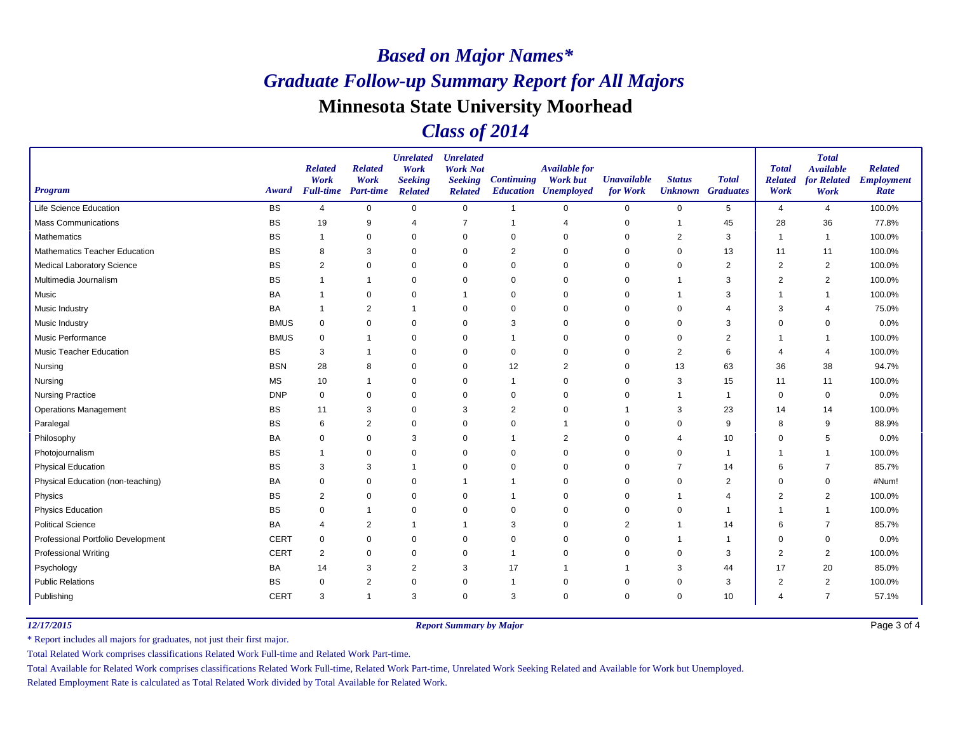## *Class of 2014*

| <b>Program</b>                       | Award       | <b>Related</b><br>Work<br><b>Full-time</b> | <b>Related</b><br>Work<br><b>Part-time</b> | <b>Unrelated</b><br>Work<br><b>Seeking</b><br><b>Related</b> | <b>Unrelated</b><br><b>Work Not</b><br><b>Seeking</b><br><b>Related</b> | <b>Continuing</b> | Available for<br><b>Work but</b><br><b>Education Unemployed</b> | <b>Unavailable</b><br>for Work | <b>Status</b><br><b>Unknown</b> Graduates | <b>Total</b>   | <b>Total</b><br><b>Related</b><br>Work | <b>Total</b><br><b>Available</b><br>for Related<br>Work | <b>Related</b><br><b>Employment</b><br>Rate |
|--------------------------------------|-------------|--------------------------------------------|--------------------------------------------|--------------------------------------------------------------|-------------------------------------------------------------------------|-------------------|-----------------------------------------------------------------|--------------------------------|-------------------------------------------|----------------|----------------------------------------|---------------------------------------------------------|---------------------------------------------|
| <b>Life Science Education</b>        | <b>BS</b>   | $\overline{4}$                             | $\mathbf 0$                                | $\mathbf 0$                                                  | $\mathbf 0$                                                             | $\overline{1}$    | $\mathbf 0$                                                     | $\mathbf 0$                    | $\mathbf 0$                               | 5              | $\overline{4}$                         | $\overline{4}$                                          | 100.0%                                      |
| <b>Mass Communications</b>           | <b>BS</b>   | 19                                         | 9                                          | $\overline{4}$                                               | 7                                                                       | $\overline{1}$    | $\overline{4}$                                                  | $\mathbf 0$                    | 1                                         | 45             | 28                                     | 36                                                      | 77.8%                                       |
| Mathematics                          | <b>BS</b>   | -1                                         | $\mathbf 0$                                | $\mathbf 0$                                                  | $\mathbf 0$                                                             | 0                 | 0                                                               | $\mathbf 0$                    | $\overline{2}$                            | 3              | -1                                     | -1                                                      | 100.0%                                      |
| <b>Mathematics Teacher Education</b> | <b>BS</b>   | 8                                          | 3                                          | $\Omega$                                                     | 0                                                                       | 2                 | $\Omega$                                                        | $\mathbf 0$                    | 0                                         | 13             | 11                                     | 11                                                      | 100.0%                                      |
| Medical Laboratory Science           | BS          | $\overline{2}$                             | $\mathbf 0$                                | $\mathbf 0$                                                  | 0                                                                       | $\mathbf 0$       | $\Omega$                                                        | 0                              | $\mathbf 0$                               | 2              | $\overline{2}$                         | $\overline{2}$                                          | 100.0%                                      |
| Multimedia Journalism                | <b>BS</b>   |                                            | $\mathbf 1$                                | $\mathbf 0$                                                  | $\mathbf 0$                                                             | $\mathbf 0$       | 0                                                               | 0                              |                                           | 3              | $\overline{2}$                         | $\overline{2}$                                          | 100.0%                                      |
| Music                                | <b>BA</b>   |                                            | 0                                          | $\Omega$                                                     |                                                                         | 0                 | $\Omega$                                                        | 0                              |                                           | 3              | 1                                      | $\overline{1}$                                          | 100.0%                                      |
| <b>Music Industry</b>                | BA          | -1                                         | $\overline{2}$                             | $\mathbf 1$                                                  | 0                                                                       | 0                 | $\mathbf 0$                                                     | 0                              | 0                                         |                | 3                                      | $\overline{4}$                                          | 75.0%                                       |
| Music Industry                       | <b>BMUS</b> | $\mathbf 0$                                | $\mathbf 0$                                | $\mathbf 0$                                                  | $\mathbf 0$                                                             | 3                 | $\mathbf 0$                                                     | $\mathbf 0$                    | $\mathbf 0$                               | 3              | $\mathbf 0$                            | 0                                                       | 0.0%                                        |
| Music Performance                    | <b>BMUS</b> | 0                                          | $\mathbf{1}$                               | $\Omega$                                                     | 0                                                                       | $\overline{1}$    | $\Omega$                                                        | $\Omega$                       | $\Omega$                                  | 2              | 1                                      | $\overline{1}$                                          | 100.0%                                      |
| Music Teacher Education              | <b>BS</b>   | 3                                          | $\mathbf 1$                                | $\mathbf 0$                                                  | 0                                                                       | $\mathbf 0$       | $\mathbf 0$                                                     | 0                              | 2                                         | 6              | 4                                      | $\overline{4}$                                          | 100.0%                                      |
| Nursing                              | <b>BSN</b>  | 28                                         | 8                                          | $\mathbf 0$                                                  | $\mathbf 0$                                                             | 12                | $\overline{2}$                                                  | $\Omega$                       | 13                                        | 63             | 36                                     | 38                                                      | 94.7%                                       |
| Nursing                              | <b>MS</b>   | 10                                         | $\mathbf 1$                                | $\mathbf 0$                                                  | $\mathbf 0$                                                             | $\overline{1}$    | $\Omega$                                                        | $\mathbf 0$                    | 3                                         | 15             | 11                                     | 11                                                      | 100.0%                                      |
| <b>Nursing Practice</b>              | <b>DNP</b>  | $\mathbf 0$                                | 0                                          | $\mathbf 0$                                                  | 0                                                                       | 0                 | $\mathbf 0$                                                     | 0                              | -1                                        | $\mathbf{1}$   | 0                                      | 0                                                       | 0.0%                                        |
| <b>Operations Management</b>         | <b>BS</b>   | 11                                         | 3                                          | $\mathbf 0$                                                  | 3                                                                       | $\overline{2}$    | $\mathbf 0$                                                     |                                | 3                                         | 23             | 14                                     | 14                                                      | 100.0%                                      |
| Paralegal                            | <b>BS</b>   | 6                                          | $\overline{2}$                             | $\mathbf 0$                                                  | 0                                                                       | $\mathbf 0$       | -1                                                              | 0                              | $\mathbf 0$                               | 9              | 8                                      | 9                                                       | 88.9%                                       |
| Philosophy                           | BA          | 0                                          | 0                                          | 3                                                            | 0                                                                       | -1                | $\overline{2}$                                                  | 0                              | 4                                         | 10             | $\Omega$                               | 5                                                       | 0.0%                                        |
| Photojournalism                      | <b>BS</b>   | $\mathbf{1}$                               | 0                                          | $\mathbf 0$                                                  | 0                                                                       | $\mathbf 0$       | $\Omega$                                                        | $\mathbf 0$                    | $\mathbf 0$                               | $\mathbf{1}$   | 1                                      | $\overline{1}$                                          | 100.0%                                      |
| <b>Physical Education</b>            | <b>BS</b>   | 3                                          | 3                                          | $\overline{1}$                                               | $\mathbf 0$                                                             | $\mathbf 0$       | $\Omega$                                                        | 0                              | $\overline{7}$                            | 14             | 6                                      | $\overline{7}$                                          | 85.7%                                       |
| Physical Education (non-teaching)    | BA          | 0                                          | 0                                          | $\mathbf 0$                                                  |                                                                         |                   | $\Omega$                                                        | 0                              | $\mathbf 0$                               | $\overline{c}$ | $\Omega$                               | $\mathbf 0$                                             | #Num!                                       |
| Physics                              | <b>BS</b>   | $\overline{2}$                             | $\mathbf 0$                                | $\mathbf 0$                                                  | $\mathbf 0$                                                             |                   | $\mathbf 0$                                                     | $\mathbf 0$                    |                                           | 4              | $\overline{2}$                         | $\overline{2}$                                          | 100.0%                                      |
| <b>Physics Education</b>             | <b>BS</b>   | $\mathbf 0$                                |                                            | $\mathbf 0$                                                  | $\mathbf 0$                                                             | $\mathbf 0$       | $\Omega$                                                        | 0                              | $\mathbf 0$                               | 1              | 1                                      | $\overline{1}$                                          | 100.0%                                      |
| <b>Political Science</b>             | BA          | 4                                          | 2                                          | $\overline{1}$                                               | -1                                                                      | 3                 | $\Omega$                                                        | 2                              |                                           | 14             | 6                                      | $\overline{7}$                                          | 85.7%                                       |
| Professional Portfolio Development   | <b>CERT</b> | $\mathbf 0$                                | $\mathbf 0$                                | $\mathbf 0$                                                  | $\mathbf 0$                                                             | $\mathbf 0$       | $\Omega$                                                        | $\mathbf 0$                    |                                           | -1             | $\mathbf 0$                            | $\mathbf 0$                                             | 0.0%                                        |
| Professional Writing                 | <b>CERT</b> | $\overline{2}$                             | $\mathbf 0$                                | $\mathbf 0$                                                  | $\mathbf 0$                                                             | $\overline{1}$    | $\mathbf 0$                                                     | $\mathbf 0$                    | $\mathbf 0$                               | 3              | $\overline{2}$                         | $\overline{2}$                                          | 100.0%                                      |
| Psychology                           | BA          | 14                                         | 3                                          | $\overline{2}$                                               | 3                                                                       | 17                | -1                                                              |                                | 3                                         | 44             | 17                                     | 20                                                      | 85.0%                                       |
| <b>Public Relations</b>              | <b>BS</b>   | $\mathbf 0$                                | $\overline{c}$                             | 0                                                            | 0                                                                       | -1                | 0                                                               | 0                              | 0                                         | 3              | $\overline{2}$                         | $\overline{2}$                                          | 100.0%                                      |
| Publishing                           | <b>CERT</b> | 3                                          | $\mathbf 1$                                | 3                                                            | $\mathbf 0$                                                             | 3                 | $\Omega$                                                        | $\mathbf 0$                    | $\mathbf 0$                               | 10             | 4                                      | $\overline{7}$                                          | 57.1%                                       |

*12/17/2015 Report Summary by Major*

Page 3 of 4

\* Report includes all majors for graduates, not just their first major.

Total Related Work comprises classifications Related Work Full-time and Related Work Part-time.

Total Available for Related Work comprises classifications Related Work Full-time, Related Work Part-time, Unrelated Work Seeking Related and Available for Work but Unemployed.